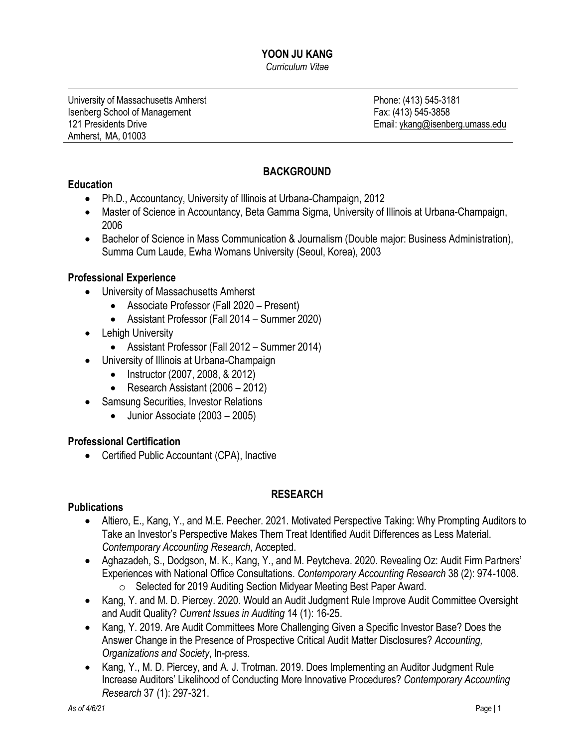#### **YOON JU KANG** *Curriculum Vitae*

University of Massachusetts Amherst **Phone: (413)** 545-3181 Isenberg School of Management **Fax: (413) 545-3858** 121 Presidents Drive **Email:** [ykang@isenberg.umass.edu](mailto:ykang@isenberg.umass.edu) Amherst, MA, 01003

# **BACKGROUND**

## **Education**

- Ph.D., Accountancy, University of Illinois at Urbana-Champaign, 2012
- Master of Science in Accountancy, Beta Gamma Sigma, University of Illinois at Urbana-Champaign, 2006
- Bachelor of Science in Mass Communication & Journalism (Double major: Business Administration), Summa Cum Laude, Ewha Womans University (Seoul, Korea), 2003

## **Professional Experience**

- University of Massachusetts Amherst
	- Associate Professor (Fall 2020 Present)
	- Assistant Professor (Fall 2014 Summer 2020)
- Lehigh University
	- Assistant Professor (Fall 2012 Summer 2014)
- University of Illinois at Urbana-Champaign
	- Instructor (2007, 2008, & 2012)
	- Research Assistant (2006 2012)
- Samsung Securities, Investor Relations
	- Junior Associate (2003 2005)

## **Professional Certification**

• Certified Public Accountant (CPA), Inactive

# **RESEARCH**

## **Publications**

- Altiero, E., Kang, Y., and M.E. Peecher. 2021. Motivated Perspective Taking: Why Prompting Auditors to Take an Investor's Perspective Makes Them Treat Identified Audit Differences as Less Material. *Contemporary Accounting Research*, Accepted.
- Aghazadeh, S., Dodgson, M. K., Kang, Y., and M. Peytcheva. 2020. Revealing Oz: Audit Firm Partners' Experiences with National Office Consultations. *Contemporary Accounting Research* 38 (2): 974-1008. o Selected for 2019 Auditing Section Midyear Meeting Best Paper Award.
- Kang, Y. and M. D. Piercey. 2020. Would an Audit Judgment Rule Improve Audit Committee Oversight and Audit Quality? *Current Issues in Auditing* 14 (1): 16-25.
- Kang, Y. 2019. Are Audit Committees More Challenging Given a Specific Investor Base? Does the Answer Change in the Presence of Prospective Critical Audit Matter Disclosures? *Accounting, Organizations and Society*, In-press.
- Kang, Y., M. D. Piercey, and A. J. Trotman. 2019. Does Implementing an Auditor Judgment Rule Increase Auditors' Likelihood of Conducting More Innovative Procedures? *Contemporary Accounting Research* 37 (1): 297-321.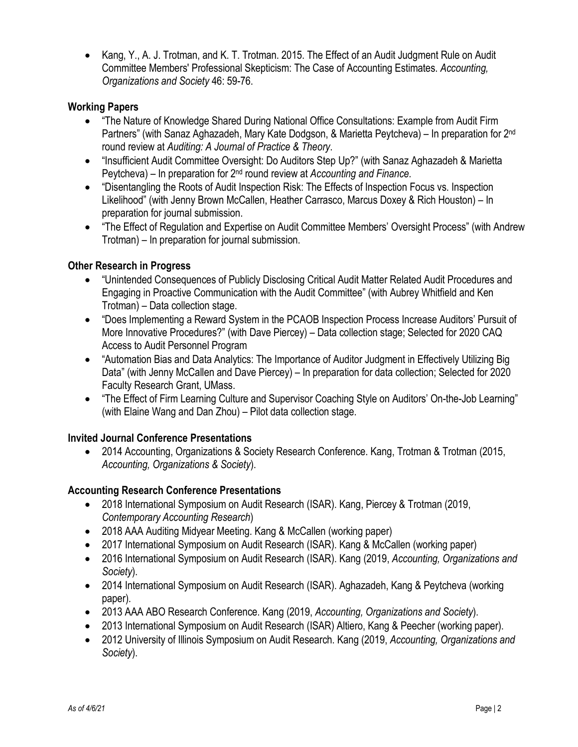• Kang, Y., A. J. Trotman, and K. T. Trotman. 2015. The Effect of an Audit Judgment Rule on Audit Committee Members' Professional Skepticism: The Case of Accounting Estimates. *Accounting, Organizations and Society* 46: 59-76.

## **Working Papers**

- "The Nature of Knowledge Shared During National Office Consultations: Example from Audit Firm Partners" (with Sanaz Aghazadeh, Mary Kate Dodgson, & Marietta Peytcheva) – In preparation for 2nd round review at *Auditing: A Journal of Practice & Theory*.
- "Insufficient Audit Committee Oversight: Do Auditors Step Up?" (with Sanaz Aghazadeh & Marietta Peytcheva) *–* In preparation for 2nd round review at *Accounting and Finance.*
- "Disentangling the Roots of Audit Inspection Risk: The Effects of Inspection Focus vs. Inspection Likelihood" (with Jenny Brown McCallen, Heather Carrasco, Marcus Doxey & Rich Houston) – In preparation for journal submission.
- "The Effect of Regulation and Expertise on Audit Committee Members' Oversight Process" (with Andrew Trotman) – In preparation for journal submission.

## **Other Research in Progress**

- "Unintended Consequences of Publicly Disclosing Critical Audit Matter Related Audit Procedures and Engaging in Proactive Communication with the Audit Committee" (with Aubrey Whitfield and Ken Trotman) – Data collection stage.
- "Does Implementing a Reward System in the PCAOB Inspection Process Increase Auditors' Pursuit of More Innovative Procedures?" (with Dave Piercey) – Data collection stage; Selected for 2020 CAQ Access to Audit Personnel Program
- "Automation Bias and Data Analytics: The Importance of Auditor Judgment in Effectively Utilizing Big Data" (with Jenny McCallen and Dave Piercey) – In preparation for data collection; Selected for 2020 Faculty Research Grant, UMass.
- "The Effect of Firm Learning Culture and Supervisor Coaching Style on Auditors' On-the-Job Learning" (with Elaine Wang and Dan Zhou) – Pilot data collection stage.

# **Invited Journal Conference Presentations**

• 2014 Accounting, Organizations & Society Research Conference. Kang, Trotman & Trotman (2015, *Accounting, Organizations & Society*).

# **Accounting Research Conference Presentations**

- 2018 International Symposium on Audit Research (ISAR). Kang, Piercey & Trotman (2019, *Contemporary Accounting Research*)
- 2018 AAA Auditing Midyear Meeting. Kang & McCallen (working paper)
- 2017 International Symposium on Audit Research (ISAR). Kang & McCallen (working paper)
- 2016 International Symposium on Audit Research (ISAR). Kang (2019, *Accounting, Organizations and Society*).
- 2014 International Symposium on Audit Research (ISAR). Aghazadeh, Kang & Peytcheva (working paper).
- 2013 AAA ABO Research Conference. Kang (2019, *Accounting, Organizations and Society*).
- 2013 International Symposium on Audit Research (ISAR) Altiero, Kang & Peecher (working paper).
- 2012 University of Illinois Symposium on Audit Research. Kang (2019, *Accounting, Organizations and Society*).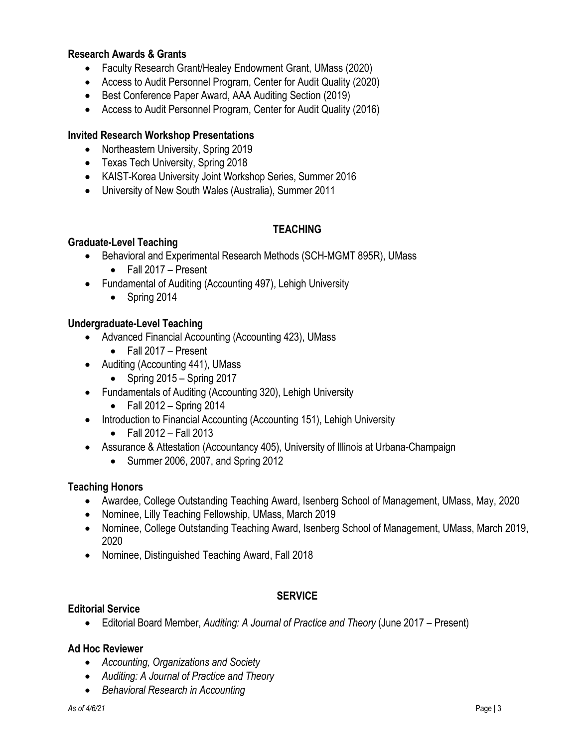### **Research Awards & Grants**

- Faculty Research Grant/Healey Endowment Grant, UMass (2020)
- Access to Audit Personnel Program, Center for Audit Quality (2020)
- Best Conference Paper Award, AAA Auditing Section (2019)
- Access to Audit Personnel Program, Center for Audit Quality (2016)

#### **Invited Research Workshop Presentations**

- Northeastern University, Spring 2019
- Texas Tech University, Spring 2018
- KAIST-Korea University Joint Workshop Series, Summer 2016
- University of New South Wales (Australia), Summer 2011

### **TEACHING**

#### **Graduate-Level Teaching**

- Behavioral and Experimental Research Methods (SCH-MGMT 895R), UMass
	- Fall 2017 Present
- Fundamental of Auditing (Accounting 497), Lehigh University
	- Spring 2014

#### **Undergraduate-Level Teaching**

- Advanced Financial Accounting (Accounting 423), UMass
	- Fall 2017 Present
- Auditing (Accounting 441), UMass
	- Spring  $2015 -$  Spring  $2017$
- Fundamentals of Auditing (Accounting 320), Lehigh University
	- Fall  $2012 -$  Spring 2014
- Introduction to Financial Accounting (Accounting 151), Lehigh University
	- $\bullet$  Fall 2012 Fall 2013
- Assurance & Attestation (Accountancy 405), University of Illinois at Urbana-Champaign
	- Summer 2006, 2007, and Spring 2012

#### **Teaching Honors**

- Awardee, College Outstanding Teaching Award, Isenberg School of Management, UMass, May, 2020
- Nominee, Lilly Teaching Fellowship, UMass, March 2019
- Nominee, College Outstanding Teaching Award, Isenberg School of Management, UMass, March 2019, 2020
- Nominee, Distinguished Teaching Award, Fall 2018

#### **SERVICE**

### **Editorial Service**

• Editorial Board Member, *Auditing: A Journal of Practice and Theory* (June 2017 – Present)

#### **Ad Hoc Reviewer**

- *Accounting, Organizations and Society*
- *Auditing: A Journal of Practice and Theory*
- *Behavioral Research in Accounting*